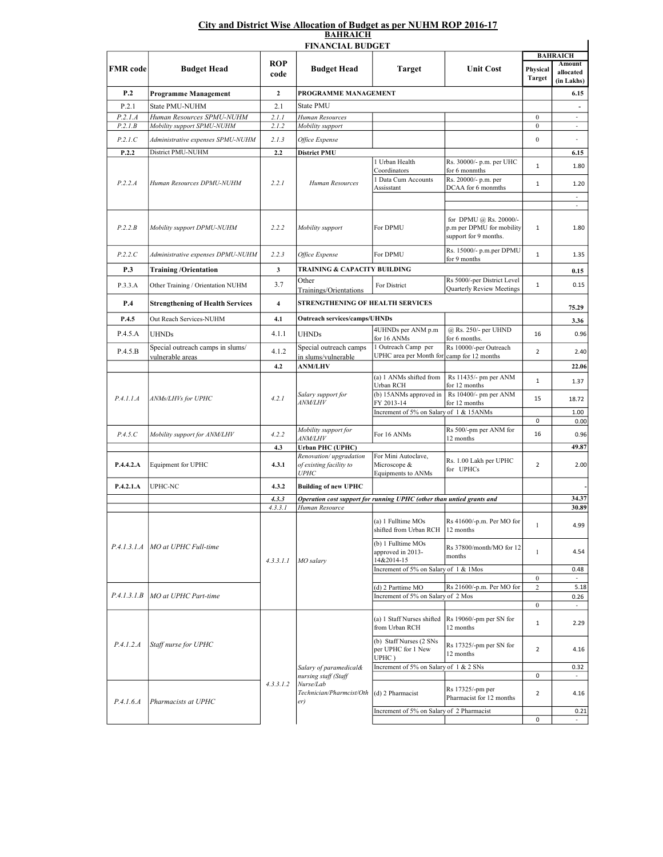## City and District Wise Allocation of Budget as per NUHM ROP 2016-17 **BAHRAICH**

| <b>FINANCIAL BUDGET</b>    |                                                      |                         |                                                                                                |                                                        |                                                                              |                            |                          |  |  |  |  |  |
|----------------------------|------------------------------------------------------|-------------------------|------------------------------------------------------------------------------------------------|--------------------------------------------------------|------------------------------------------------------------------------------|----------------------------|--------------------------|--|--|--|--|--|
|                            | <b>Budget Head</b>                                   | <b>ROP</b><br>code      | <b>Budget Head</b>                                                                             |                                                        |                                                                              | <b>BAHRAICH</b><br>Amount  |                          |  |  |  |  |  |
| <b>FMR</b> code            |                                                      |                         |                                                                                                | Target                                                 | <b>Unit Cost</b>                                                             | Physical<br>Target         | allocated<br>(in Lakhs)  |  |  |  |  |  |
| P.2                        | Programme Management                                 | $\boldsymbol{2}$        |                                                                                                | PROGRAMME MANAGEMENT                                   |                                                                              |                            |                          |  |  |  |  |  |
| P.2.1                      | State PMU-NUHM                                       | 2.1                     | State PMU                                                                                      |                                                        |                                                                              |                            | $\overline{a}$           |  |  |  |  |  |
| P.2.1.A                    | Human Resources SPMU-NUHM                            | 2.1.1                   | Human Resources                                                                                |                                                        |                                                                              | $\boldsymbol{0}$           |                          |  |  |  |  |  |
| P.2.1.B                    | Mobility support SPMU-NUHM                           | 2.1.2                   | Mobility support                                                                               |                                                        |                                                                              | $\mathbf{0}$               | $\omega$                 |  |  |  |  |  |
| P.2.1.C                    | Administrative expenses SPMU-NUHM                    | 2.1.3                   | Office Expense                                                                                 |                                                        |                                                                              | $\boldsymbol{0}$           |                          |  |  |  |  |  |
| P.2.2                      | District PMU-NUHM                                    | 2.2                     | <b>District PMU</b>                                                                            | 1 Urban Health                                         | Rs. 30000/- p.m. per UHC                                                     |                            | 6.15                     |  |  |  |  |  |
| P.2.2.A                    | Human Resources DPMU-NUHM                            | 2.2.1                   | Human Resources                                                                                | Coordinators                                           | for 6 monmths                                                                | $\mathbf{1}$               | 1.80                     |  |  |  |  |  |
|                            |                                                      |                         |                                                                                                | 1 Data Cum Accounts                                    | Rs. 20000/- p.m. per<br>DCAA for 6 monmths                                   | $1\,$                      | 1.20                     |  |  |  |  |  |
|                            |                                                      |                         |                                                                                                | Assisstant                                             |                                                                              |                            | $\overline{\phantom{a}}$ |  |  |  |  |  |
|                            |                                                      |                         |                                                                                                |                                                        |                                                                              |                            | $\overline{\phantom{a}}$ |  |  |  |  |  |
| P.2.2.B                    | Mobility support DPMU-NUHM                           | 2.2.2                   | Mobility support                                                                               | For DPMU                                               | for DPMU @ Rs. 20000/-<br>p.m per DPMU for mobility<br>support for 9 months. | $\mathbf{1}$               | 1.80                     |  |  |  |  |  |
| P.2.2.C                    | Administrative expenses DPMU-NUHM                    | 2.2.3                   | Office Expense                                                                                 | For DPMU                                               | Rs. 15000/- p.m.per DPMU<br>for 9 months                                     | $\mathbf{1}$               | 1.35                     |  |  |  |  |  |
| P.3                        | <b>Training/Orientation</b>                          | 3                       | TRAINING & CAPACITY BUILDING                                                                   |                                                        |                                                                              |                            | 0.15                     |  |  |  |  |  |
| P.3.3.A                    | Other Training / Orientation NUHM                    | 3.7                     | Other<br>Trainings/Orientations                                                                | For District                                           | Rs 5000/-per District Level<br>Quarterly Review Meetings                     | $\mathbf{1}$               | 0.15                     |  |  |  |  |  |
| P.4                        | <b>Strengthening of Health Services</b>              | $\overline{\mathbf{4}}$ | STRENGTHENING OF HEALTH SERVICES                                                               |                                                        |                                                                              |                            | 75.29                    |  |  |  |  |  |
| P.4.5                      | Out Reach Services-NUHM                              | 4.1                     | <b>Outreach services/camps/UHNDs</b>                                                           |                                                        |                                                                              |                            | 3.36                     |  |  |  |  |  |
| P.4.5.A                    | <b>UHNDs</b>                                         | 4.1.1                   | <b>UHNDs</b>                                                                                   | 4UHNDs per ANM p.m<br>for 16 ANMs                      | @ Rs. 250/- per UHND<br>for 6 months.                                        | 16                         | 0.96                     |  |  |  |  |  |
| P.4.5.B                    | Special outreach camps in slums/<br>vulnerable areas | 4.1.2                   | Special outreach camps                                                                         | 1 Outreach Camp per<br>UPHC area per Month for         | Rs 10000/-per Outreach<br>camp for 12 months                                 | $\overline{2}$             | 2.40                     |  |  |  |  |  |
|                            |                                                      | 4.2                     | in slums/vulnerable<br><b>ANM/LHV</b>                                                          |                                                        |                                                                              |                            | 22.06                    |  |  |  |  |  |
|                            | ANMs/LHVs for UPHC                                   | 4.2.1                   | Salary support for<br><i>ANM/LHV</i>                                                           | (a) 1 ANMs shifted from                                | Rs 11435/- pm per ANM                                                        | $\mathbf{1}$               | 1.37                     |  |  |  |  |  |
|                            |                                                      |                         |                                                                                                | Urban RCH<br>(b) 15ANMs approved in                    | for 12 months<br>Rs 10400/- pm per ANM                                       |                            |                          |  |  |  |  |  |
| P.4.1.1.A                  |                                                      |                         |                                                                                                | FY 2013-14                                             | for 12 months                                                                | 15                         | 18.72                    |  |  |  |  |  |
|                            |                                                      |                         |                                                                                                | Increment of 5% on Salary of 1 & 15ANMs                |                                                                              |                            | 1.00                     |  |  |  |  |  |
|                            |                                                      |                         | Mobility support for                                                                           |                                                        | Rs 500/-pm per ANM for                                                       | 0                          | 0.00                     |  |  |  |  |  |
| P.4.5.C                    | Mobility support for ANM/LHV                         | 4.2.2                   | <i>ANM/LHV</i>                                                                                 | For 16 ANMs                                            | 12 months                                                                    | 16                         | 0.96                     |  |  |  |  |  |
|                            |                                                      | 4.3                     | <b>Urban PHC (UPHC)</b><br>Renovation/upgradation<br>For Mini Autoclave,                       |                                                        |                                                                              | 49.87                      |                          |  |  |  |  |  |
| P.4.4.2.A                  | Equipment for UPHC                                   | 4.3.1                   | of existing facility to                                                                        | Microscope &                                           | Rs. 1.00 Lakh per UPHC<br>for UPHCs                                          | $\overline{2}$             | 2.00                     |  |  |  |  |  |
|                            |                                                      |                         | <b>UPHC</b>                                                                                    | Equipments to ANMs                                     |                                                                              |                            |                          |  |  |  |  |  |
| P.4.2.1.A                  | UPHC-NC                                              | 4.3.2                   | <b>Building of new UPHC</b>                                                                    |                                                        |                                                                              |                            |                          |  |  |  |  |  |
|                            |                                                      | 4.3.3<br>4.3.3.1        | Operation cost support for running UPHC (other than untied grants and<br>Human Resource        |                                                        |                                                                              |                            | 34.37<br>30.89           |  |  |  |  |  |
| P.4.1.3.1.A<br>P.4.1.3.1.B | MO at UPHC Full-time<br>MO at UPHC Part-time         | 4.3.3.1.1               | MO salary                                                                                      | (a) 1 Fulltime MOs<br>shifted from Urban RCH           | Rs 41600/-p.m. Per MO for<br>$ 12$ months                                    | $\mathbf{1}$               | 4.99                     |  |  |  |  |  |
|                            |                                                      |                         |                                                                                                | (b) 1 Fulltime MOs<br>approved in 2013-<br>14&2014-15  | Rs 37800/month/MO for 12<br>months                                           | $\mathbf{1}$               | 4.54                     |  |  |  |  |  |
|                            |                                                      |                         |                                                                                                | Increment of 5% on Salary of 1 & 1Mos                  |                                                                              |                            | 0.48                     |  |  |  |  |  |
|                            |                                                      |                         |                                                                                                | (d) 2 Parttime MO                                      | Rs 21600/-p.m. Per MO for                                                    | $\bf{0}$<br>$\overline{c}$ | 5.18                     |  |  |  |  |  |
|                            |                                                      |                         |                                                                                                | Increment of 5% on Salary of 2 Mos                     |                                                                              |                            | 0.26                     |  |  |  |  |  |
|                            |                                                      |                         |                                                                                                |                                                        |                                                                              | $\bf{0}$                   | $\overline{\phantom{a}}$ |  |  |  |  |  |
| P.4.1.2.A                  | Staff nurse for UPHC                                 | 4.3.3.1.2               | Salary of paramedical&<br>nursing staff (Staff<br>Nurse/Lab<br>Technician/Pharmcist/Oth<br>er) | (a) 1 Staff Nurses shifted<br>from Urban RCH           | Rs 19060/-pm per SN for<br>12 months                                         | 1                          | 2.29                     |  |  |  |  |  |
|                            |                                                      |                         |                                                                                                | (b) Staff Nurses (2 SNs<br>per UPHC for 1 New<br>UPHC) | Rs 17325/-pm per SN for<br>12 months                                         | $\overline{2}$             | 4.16                     |  |  |  |  |  |
|                            |                                                      |                         |                                                                                                | Increment of 5% on Salary of 1 & 2 SNs                 |                                                                              | 0                          | 0.32                     |  |  |  |  |  |
| P.4.1.6.4                  | Pharmacists at UPHC                                  |                         |                                                                                                | (d) 2 Pharmacist                                       | Rs 17325/-pm per<br>Pharmacist for 12 months                                 | $\overline{2}$             | 4.16                     |  |  |  |  |  |
|                            |                                                      |                         |                                                                                                | Increment of 5% on Salary of 2 Pharmacist              |                                                                              |                            | 0.21                     |  |  |  |  |  |
|                            |                                                      |                         |                                                                                                |                                                        |                                                                              | 0                          | ÷                        |  |  |  |  |  |